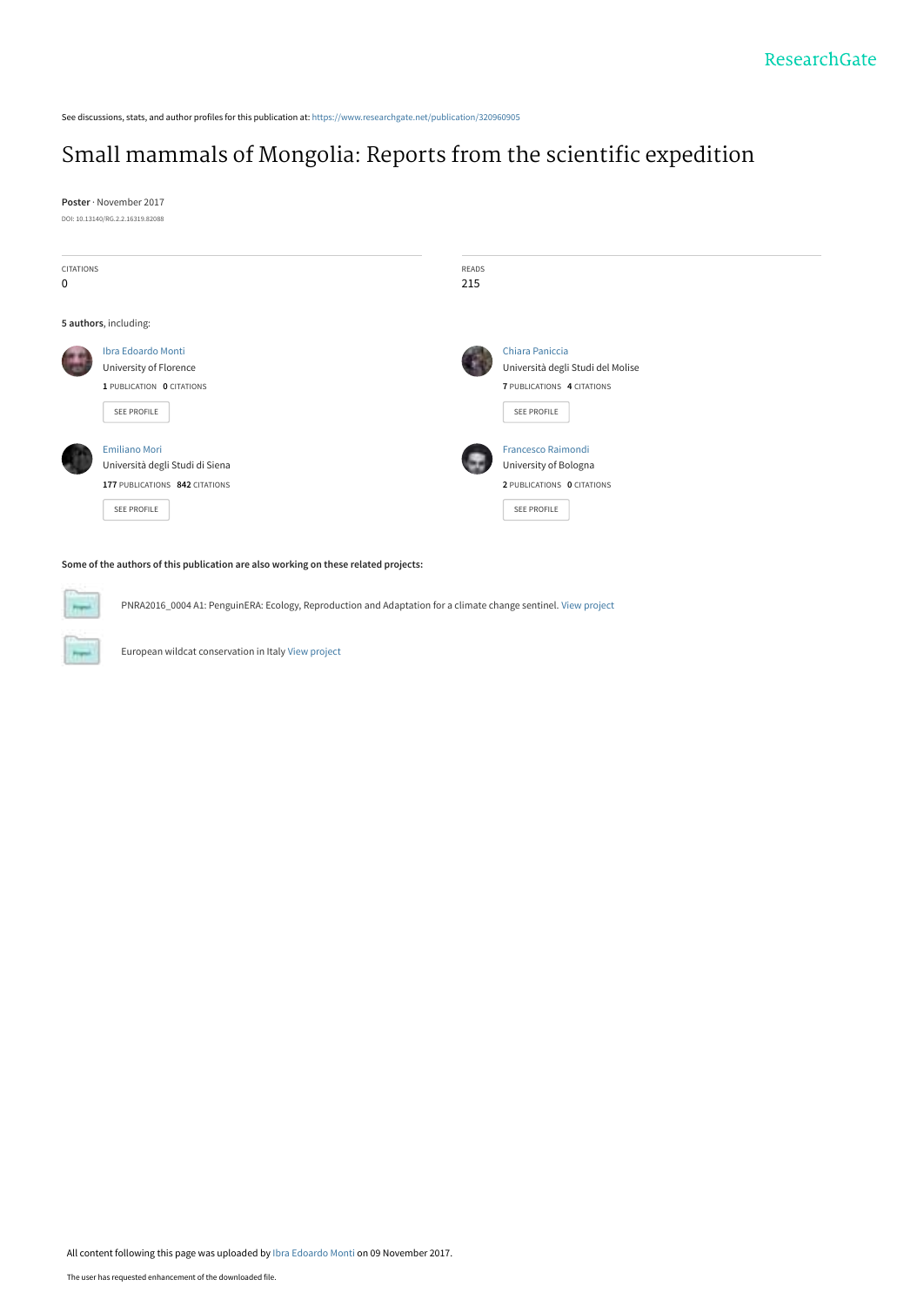See discussions, stats, and author profiles for this publication at: [https://www.researchgate.net/publication/320960905](https://www.researchgate.net/publication/320960905_Small_mammals_of_Mongolia_Reports_from_the_scientific_expedition?enrichId=rgreq-04366a54c8a61a31e0e80f6a330fc758-XXX&enrichSource=Y292ZXJQYWdlOzMyMDk2MDkwNTtBUzo1NTg4NDg5NDkyNzI1NzZAMTUxMDI1MTM4MDUyMQ%3D%3D&el=1_x_2&_esc=publicationCoverPdf)

#### [Small mammals of Mongolia: Reports from the scientific expedition](https://www.researchgate.net/publication/320960905_Small_mammals_of_Mongolia_Reports_from_the_scientific_expedition?enrichId=rgreq-04366a54c8a61a31e0e80f6a330fc758-XXX&enrichSource=Y292ZXJQYWdlOzMyMDk2MDkwNTtBUzo1NTg4NDg5NDkyNzI1NzZAMTUxMDI1MTM4MDUyMQ%3D%3D&el=1_x_3&_esc=publicationCoverPdf)

**Poster** · November 2017 DOI: 10.13140/RG.2.2.16319.82088



#### **Some of the authors of this publication are also working on these related projects:**

PNRA2016\_0004 A1: PenguinERA: Ecology, Reproduction and Adaptation for a climate change sentinel. [View project](https://www.researchgate.net/project/PNRA2016-0004-A1-PenguinERA-Ecology-Reproduction-and-Adaptation-for-a-climate-change-sentinel?enrichId=rgreq-04366a54c8a61a31e0e80f6a330fc758-XXX&enrichSource=Y292ZXJQYWdlOzMyMDk2MDkwNTtBUzo1NTg4NDg5NDkyNzI1NzZAMTUxMDI1MTM4MDUyMQ%3D%3D&el=1_x_9&_esc=publicationCoverPdf)

European wildcat conservation in Italy [View project](https://www.researchgate.net/project/European-wildcat-conservation-in-Italy?enrichId=rgreq-04366a54c8a61a31e0e80f6a330fc758-XXX&enrichSource=Y292ZXJQYWdlOzMyMDk2MDkwNTtBUzo1NTg4NDg5NDkyNzI1NzZAMTUxMDI1MTM4MDUyMQ%3D%3D&el=1_x_9&_esc=publicationCoverPdf)